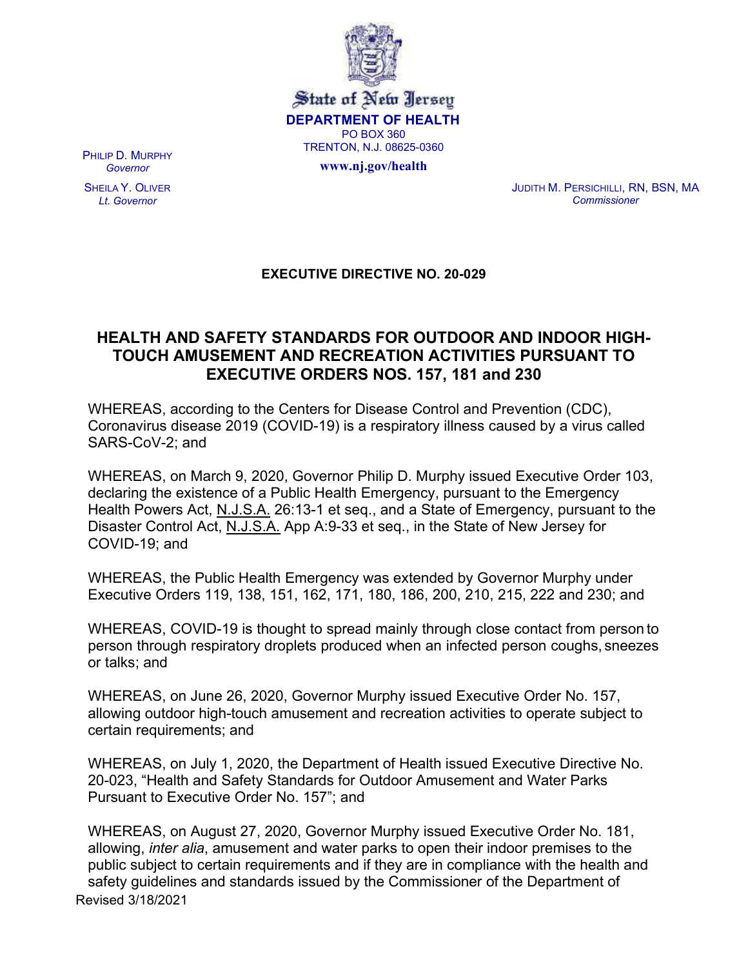

State of New Jersey DEPARTMENT OF HEALTH PO BOX 360 TRENTON, N.J. 08625-0360

www.nj.gov/health

PHILIP D. MURPHY Governor

SHEILA Y. OLIVER Lt. Governor

JUDITH M. PERSICHILLI, RN, BSN, MA **Commissioner** 

## EXECUTIVE DIRECTIVE NO. 20-029

## HEALTH AND SAFETY STANDARDS FOR OUTDOOR AND INDOOR HIGH-TOUCH AMUSEMENT AND RECREATION ACTIVITIES PURSUANT TO EXECUTIVE ORDERS NOS. 157, 181 and 230

WHEREAS, according to the Centers for Disease Control and Prevention (CDC), Coronavirus disease 2019 (COVID-19) is a respiratory illness caused by a virus called SARS-CoV-2; and

WHEREAS, on March 9, 2020, Governor Philip D. Murphy issued Executive Order 103, declaring the existence of a Public Health Emergency, pursuant to the Emergency Health Powers Act, N.J.S.A. 26:13-1 et seq., and a State of Emergency, pursuant to the Disaster Control Act, N.J.S.A. App A:9-33 et seq., in the State of New Jersey for COVID-19; and

WHEREAS, the Public Health Emergency was extended by Governor Murphy under Executive Orders 119, 138, 151, 162, 171, 180, 186, 200, 210, 215, 222 and 230; and

WHEREAS, COVID-19 is thought to spread mainly through close contact from person to person through respiratory droplets produced when an infected person coughs, sneezes or talks; and

WHEREAS, on June 26, 2020, Governor Murphy issued Executive Order No. 157, allowing outdoor high-touch amusement and recreation activities to operate subject to certain requirements; and

WHEREAS, on July 1, 2020, the Department of Health issued Executive Directive No. 20-023, "Health and Safety Standards for Outdoor Amusement and Water Parks Pursuant to Executive Order No. 157"; and

Revised 3/18/2021 WHEREAS, on August 27, 2020, Governor Murphy issued Executive Order No. 181, allowing, inter alia, amusement and water parks to open their indoor premises to the public subject to certain requirements and if they are in compliance with the health and safety guidelines and standards issued by the Commissioner of the Department of